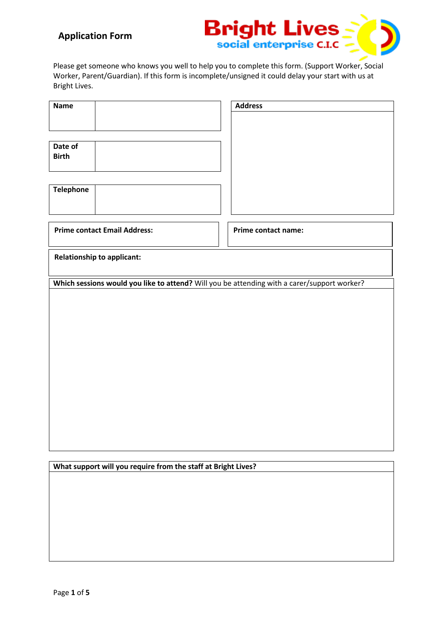## **Application Form**



Please get someone who knows you well to help you to complete this form. (Support Worker, Social Worker, Parent/Guardian). If this form is incomplete/unsigned it could delay your start with us at Bright Lives.

| <b>Name</b>                                                                                 | <b>Address</b>      |
|---------------------------------------------------------------------------------------------|---------------------|
|                                                                                             |                     |
|                                                                                             |                     |
| Date of                                                                                     |                     |
| <b>Birth</b>                                                                                |                     |
|                                                                                             |                     |
| <b>Telephone</b>                                                                            |                     |
|                                                                                             |                     |
|                                                                                             |                     |
| <b>Prime contact Email Address:</b>                                                         | Prime contact name: |
| <b>Relationship to applicant:</b>                                                           |                     |
| Which sessions would you like to attend? Will you be attending with a carer/support worker? |                     |
|                                                                                             |                     |
|                                                                                             |                     |
|                                                                                             |                     |

**What support will you require from the staff at Bright Lives?**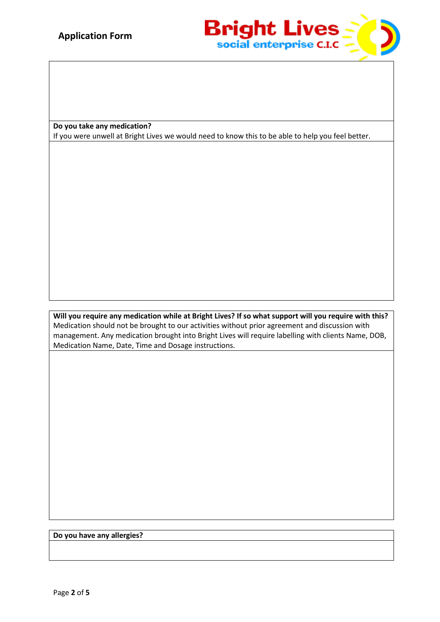

**Do you take any medication?**

If you were unwell at Bright Lives we would need to know this to be able to help you feel better.

**Will you require any medication while at Bright Lives? If so what support will you require with this?** Medication should not be brought to our activities without prior agreement and discussion with management. Any medication brought into Bright Lives will require labelling with clients Name, DOB, Medication Name, Date, Time and Dosage instructions.

**Do you have any allergies?**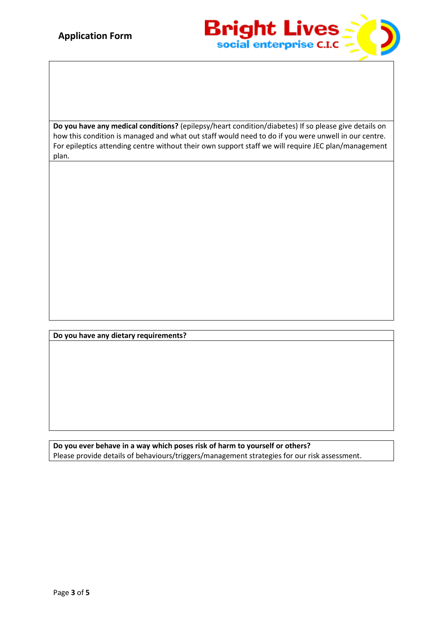

**Do you have any medical conditions?** (epilepsy/heart condition/diabetes) If so please give details on how this condition is managed and what out staff would need to do if you were unwell in our centre. For epileptics attending centre without their own support staff we will require JEC plan/management plan.

**Do you have any dietary requirements?**

**Do you ever behave in a way which poses risk of harm to yourself or others?** Please provide details of behaviours/triggers/management strategies for our risk assessment.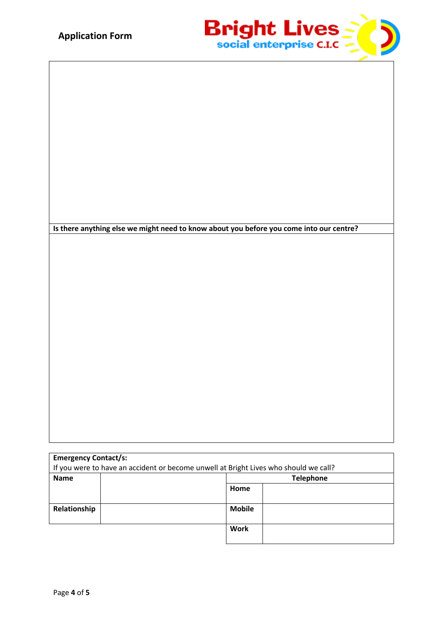

**Is there anything else we might need to know about you before you come into our centre?**

| <b>Emergency Contact/s:</b>                                                          |                  |  |
|--------------------------------------------------------------------------------------|------------------|--|
| If you were to have an accident or become unwell at Bright Lives who should we call? |                  |  |
| <b>Name</b>                                                                          | <b>Telephone</b> |  |
|                                                                                      | Home             |  |
|                                                                                      |                  |  |
| Relationship                                                                         | <b>Mobile</b>    |  |
|                                                                                      |                  |  |
|                                                                                      | <b>Work</b>      |  |
|                                                                                      |                  |  |